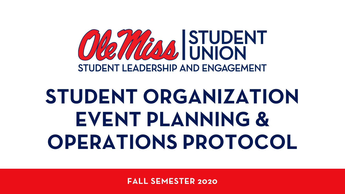

# **STUDENT ORGANIZATION EVENT PLANNING & OPERATIONS PROTOCOL**

**FALL SEMESTER 2020**

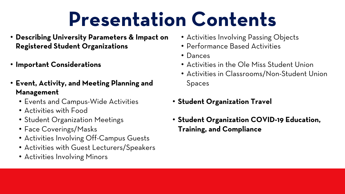# **Presentation Contents**

- **Describing University Parameters & Impact on Registered Student Organizations**
- **Important Considerations**
- **Event, Activity, and Meeting Planning and Management** 
	- Events and Campus-Wide Activities
	- Activities with Food
	- Student Organization Meetings
	- Face Coverings/Masks
	- Activities Involving Off-Campus Guests
	- Activities with Guest Lecturers/Speakers
	- Activities Involving Minors
- Activities Involving Passing Objects • Performance Based Activities
- 
- Dances
- Activities in the Ole Miss Student Union
- Spaces
- 
- 

• Activities in Classrooms/Non-Student Union

#### • **Student Organization Travel**

#### • **Student Organization COVID-19 Education, Training, and Compliance**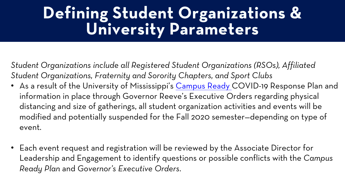## **Defining Stud** Universi

*Student Organizations include all Regi* Student Organizations, Fraternity and

- As a result of the University of Miss information in place through Govern distancing and size of gatherings, all modified and potentially suspendec event.
- Each event request and registration Leadership and Engagement to ider **Ready Plan and Governor's Executive**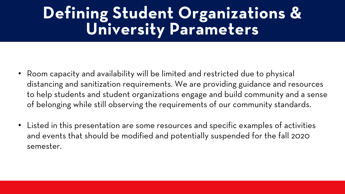## **Defining Student Organizations & University Parameters**

- Room capacity and availability will be limited and restricted due to physical distancing and sanitization requirements. We are providing guidance and resources to help students and student organizations engage and build community and a sense of belonging while still observing the requirements of our community standards.
- Listed in this presentation are some resources and specific examples of activities and events that should be modified and potentially suspended for the fall 2020 semester.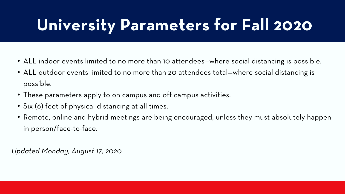# **University Parameters for Fall 2020**

- ALL indoor events limited to no more than 10 attendees—where social distancing is possible.
- ALL outdoor events limited to no more than 20 attendees total—where social distancing is possible.
- These parameters apply to on campus and off campus activities.
- Six (6) feet of physical distancing at all times.
- Remote, online and hybrid meetings are being encouraged, unless they must absolutely happen in person/face-to-face.

*Updated Monday, August 17, 2020*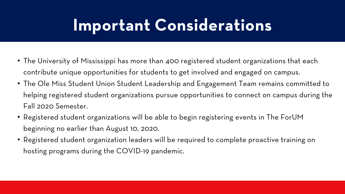## **Important Considerations**

- The University of Mississippi has more than 400 registered student organizations that each contribute unique opportunities for students to get involved and engaged on campus.
- The Ole Miss Student Union Student Leadership and Engagement Team remains committed to helping registered student organizations pursue opportunities to connect on campus during the Fall 2020 Semester.
- Registered student organizations will be able to begin registering events in The ForUM beginning no earlier than August 10, 2020.
- Registered student organization leaders will be required to complete proactive training on hosting programs during the COVID-19 pandemic.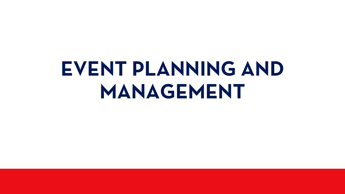# **EVENT PLANNING AND MANAGEMENT**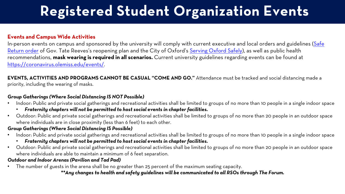### **Registered Stud**

#### **Events and Campus Wide Activities**

In-person events on campus and sponsored by the univers Return order of Gov. Tate Reeves's reopening plan and the recommendations, mask wearing is required in all scenarid [https://coronavirus.olemiss.edu/events/.](https://coronavirus.olemiss.edu/events/)

#### **EVENTS, ACTIVITIES AND PROGRAMS CANNOT BE CASUA** priority, including the wearing of masks.

#### *Group Gatherings (Where Social Distancing IS NOT Possible)*

- Indoor: Public and private social gatherings and recreational
	- **Fraternity chapters will not be permitted to host social**
- Outdoor: Public and private social gatherings and recreatior where individuals are in close proximity (less than 6 feet) to

#### *Group Gatherings (Where Social Distancing IS Possible)*

- Indoor: Public and private social gatherings and recreational
	- **Fraternity chapters will not be permitted to host social**
- Outdoor: Public and private social gatherings and recreatior where individuals are able to maintain a minimum of 6 feet separation.

#### *Outdoor and Indoor Arenas (Pavilion and Tad Pad)*

The number of guests in the arena shall be no greater than 2 *\*\*Any changes to health and safety guidelines will be communicated to all RSOs through The Forum.*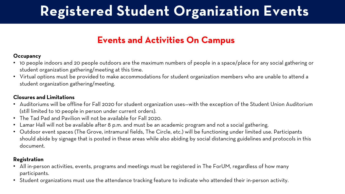## **Registered Student Organization Events**

### **Events and Activities On Campus**

#### **Occupancy**

- 10 people indoors and 20 people outdoors are the maximum numbers of people in a space/place for any social gathering or student organization gathering/meeting at this time.
- Virtual options must be provided to make accommodations for student organization members who are unable to attend a student organization gathering/meeting.

#### **Closures and Limitations**

- Auditoriums will be offline for Fall 2020 for student organization uses—with the exception of the Student Union Auditorium (still limited to 10 people in person under current orders).
- The Tad Pad and Pavilion will not be available for Fall 2020.
- Lamar Hall will not be available after 8 p.m. and must be an academic program and not a social gathering.
- Outdoor event spaces (The Grove, intramural fields, The Circle, etc.) will be functioning under limited use. Participants should abide by signage that is posted in these areas while also abiding by social distancing guidelines and protocols in this document.

#### **Registration**

- All in-person activities, events, programs and meetings must be registered in The ForUM, regardless of how many participants.
- Student organizations must use the attendance tracking feature to indicate who attended their in-person activity.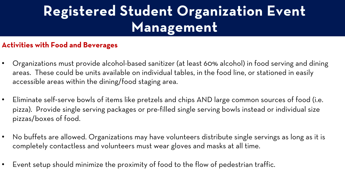## **Registered Student Organization Event Management**

#### **Activities with Food and Beverages**

- Organizations must provide alcohol-based sanitizer (at least 60% alcohol) in food serving and dining areas. These could be units available on individual tables, in the food line, or stationed in easily accessible areas within the dining/food staging area.
- Eliminate self-serve bowls of items like pretzels and chips AND large common sources of food (i.e. pizza). Provide single serving packages or pre-filled single serving bowls instead or individual size pizzas/boxes of food.
- No buffets are allowed. Organizations may have volunteers distribute single servings as long as it is completely contactless and volunteers must wear gloves and masks at all time.
- Event setup should minimize the proximity of food to the flow of pedestrian traffic.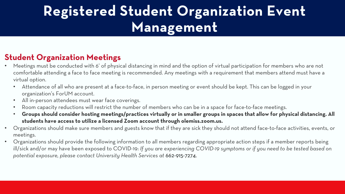## **Registered Student Organization Event Management**

#### **Student Organization Meetings**

- Meetings must be conducted with 6' of physical distancing in mind and the option of virtual participation for members who are not comfortable attending a face to face meeting is recommended. Any meetings with a requirement that members attend must have a virtual option.
	- Attendance of all who are present at a face-to-face, in person meeting or event should be kept. This can be logged in your organization's ForUM account.
	- All in-person attendees must wear face coverings.
	- Room capacity reductions will restrict the number of members who can be in a space for face-to-face meetings.
	- **Groups should consider hosting meetings/practices virtually or in smaller groups in spaces that allow for physical distancing. All students have access to utilize a licensed Zoom account through olemiss.zoom.us.**
- Organizations should make sure members and guests know that if they are sick they should not attend face-to-face activities, events, or meetings.
- Organizations should provide the following information to all members regarding appropriate action steps if a member reports being ill/sick and/or may have been exposed to COVID-19: *If you are experiencing COVID-19 symptoms or if you need to be tested based on potential exposure, please contact University Health Services at* 662-915-7274.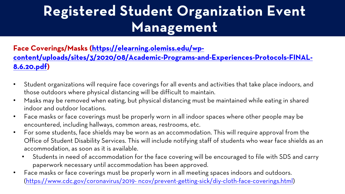### **Registered Stud** Ma

#### **Face Coverings/Masks (https://elearning [content/uploads/sites/3/2020/08/Academic-Programs-and-Experiences-Protocols-FINAL-](https://elearning.olemiss.edu/wp-content/uploads/sites/3/2020/08/Academic-Programs-and-Experiences-Protocols-FINAL-8.6.20.pdf)8.6.20.pdf)**

- Student organizations will require face cover those outdoors where physical distancing wi
- Masks may be removed when eating, but phy indoor and outdoor locations.
- Face masks or face coverings must be prope encountered, including hallways, common are
- For some students, face shields may be worn Office of Student Disability Services. This wi accommodation, as soon as it is available.
	- Students in need of accommodation for t paperwork necessary until accommodation
- Face masks or face coverings must be prope (https://www.cdc.gov/coronavirus/2019- nco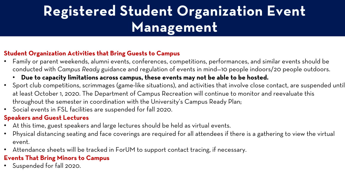## **Registered Student Organization Event Management**

#### **Student Organization Activities that Bring Guests to Campus**

- Family or parent weekends, alumni events, conferences, competitions, performances, and similar events should be conducted with *Campus Ready* guidance and regulation of events in mind—10 people indoors/20 people outdoors.
	- **Due to capacity limitations across campus, these events may not be able to be hosted.**
- Sport club competitions, scrimmages (game-like situations), and activities that involve close contact, are suspended until at least October 1, 2020. The Department of Campus Recreation will continue to monitor and reevaluate this throughout the semester in coordination with the University's Campus Ready Plan;
- Social events in FSL facilities are suspended for fall 2020.

- At this time, guest speakers and large lectures should be held as virtual events.
- Physical distancing seating and face coverings are required for all attendees if there is a gathering to view the virtual event.
- Attendance sheets will be tracked in ForUM to support contact tracing, if necessary.

#### **Speakers and Guest Lectures**

#### **Events That Bring Minors to Campus**

• Suspended for fall 2020.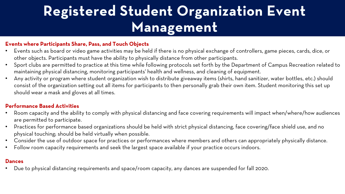## **Registered Student Organization Event Management**

#### **Events where Participants Share, Pass, and Touch Objects**

- Room capacity and the ability to comply with physical distancing and face covering requirements will impact when/where/how audiences are permitted to participate.
- Practices for performance based organizations should be held with strict physical distancing, face covering/face shield use, and no physical touching; should be held virtually when possible.
- Consider the use of outdoor space for practices or performances where members and others can appropriately physically distance. Follow room capacity requirements and seek the largest space available if your practice occurs indoors.
- 
- Events such as board or video game activities may be held if there is no physical exchange of controllers, game pieces, cards, dice, or other objects. Participants must have the ability to physically distance from other participants.
- Sport clubs are permitted to practice at this time while following protocols set forth by the Department of Campus Recreation related to maintaining physical distancing, monitoring participants' health and wellness, and cleaning of equipment.
- Any activity or program where student organization wish to distribute giveaway items (shirts, hand sanitizer, water bottles, etc.) should consist of the organization setting out all items for participants to then personally grab their own item. Student monitoring this set up should wear a mask and gloves at all times.

#### **Performance Based Activities**

#### **Dances**

• Due to physical distancing requirements and space/room capacity, any dances are suspended for fall 2020.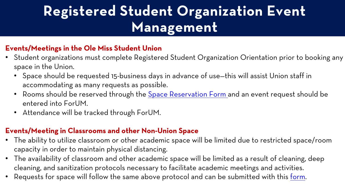### **Registered Stud** Ma

#### **Events/Meetings in the Ole Miss Student U**

- Student organizations must complete Reg space in the Union.
	- Space should be requested 15-business accommodating as many requests as possible.
	- Rooms should be reserved through the entered into ForUM.
	- Attendance will be tracked through For

#### **Events/Meeting in Classrooms and other N**

- The ability to utilize classroom or other ac capacity in order to maintain physical dista
- The availability of classroom and other aca cleaning, and sanitization protocols necess
- Requests for space will follow the same ak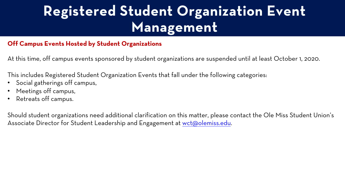### **Registered Stud** Ma

#### **Off Campus Events Hosted by Student Organiza**

At this time, off campus events sponsored by stud

This includes Registered Student Organization Eve

- Social gatherings off campus,
- Meetings off campus,
- Retreats off campus.

Should student organizations need additional clari Associate Director for Student Leadership and En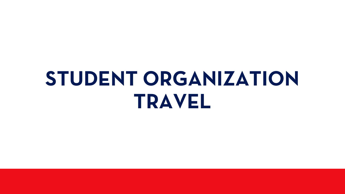# **STUDENT ORGANIZATION TRAVEL**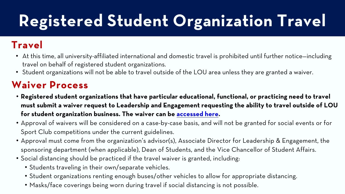# **Registered Stude**

### **Travel**

- At this time, all university-affiliated international travel on behalf of registered student organiz
- Student organizations will not be able to trav

### **Waiver Process**

- **Registered student organizations that have must submit a waiver request to Leadershi**p **for student organization business. The waiv**
- Approval of waivers will be considered on a Sport Club competitions under the current g
- Approval must come from the organization's sponsoring department (when applicable), D
- Social distancing should be practiced if the t
	- Students traveling in their own/separate v
	- Student organizations renting enough bus
	- Masks/face coverings being worn during t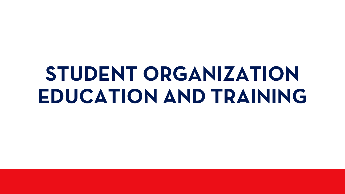# **STUDENT ORGANIZATION EDUCATION AND TRAINING**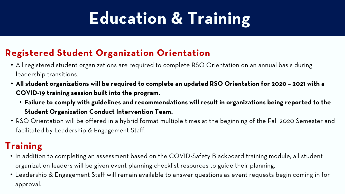# **Education & Training**

- All registered student organizations are required to complete RSO Orientation on an annual basis during leadership transitions.
- **All student organizations will be required to complete an updated RSO Orientation for 2020 – 2021 with a COVID-19 training session built into the program.** 
	- **Failure to comply with guidelines and recommendations will result in organizations being reported to the Student Organization Conduct Intervention Team.**
- RSO Orientation will be offered in a hybrid format multiple times at the beginning of the Fall 2020 Semester and facilitated by Leadership & Engagement Staff.

### **Registered Student Organization Orientation**

### **Training**

- In addition to completing an assessment based on the COVID-Safety Blackboard training module, all student organization leaders will be given event planning checklist resources to guide their planning.
- Leadership & Engagement Staff will remain available to answer questions as event requests begin coming in for approval.

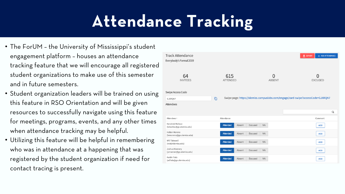# **Attendance Tracking**

- The ForUM the University of Mississippi's student engagement platform – houses an attendance tracking feature that we will encourage all registered student organizations to make use of this semester and in future semesters.
- Student organization leaders will be trained on using this feature in RSO Orientation and will be given resources to successfully navigate using this feature for meetings, programs, events, and any other times when attendance tracking may be helpful.
- Utilizing this feature will be helpful in remembering who was in attendance at a happening that was registered by the student organization if need for contact tracing is present.

**Track Attendance** Everybody's Formal 2019

> 64 **INVITEES**

| Swipe Access Code |
|-------------------|
|-------------------|

**Attendees** 

GJXRQN7

Attendees #

Kendrick Wallace (kdwallac@go.olemiss.edu)

Holten Moreno (hrmoreno@go.olemiss.edu)

Will Takewell (wct@olemiss.edu)

Joshua Mannery (jzmanner@go.olemiss.edu)

Austin Fiala (adfiala@go.olemiss.edu)



|                 |        |         |           | Q          |  |
|-----------------|--------|---------|-----------|------------|--|
| Attendance      |        |         |           | Comment    |  |
| <b>Attended</b> | Absent | Excused | <b>NA</b> | <b>ADD</b> |  |
| <b>Attended</b> | Absent | Excused | <b>NA</b> | <b>ADD</b> |  |
| <b>Attended</b> | Absent | Excused | <b>NA</b> | <b>ADD</b> |  |
| Attended        | Absent | Excused | <b>NA</b> | <b>ADD</b> |  |
| <b>Attended</b> | Absent | Excused | <b>NA</b> | <b>ADD</b> |  |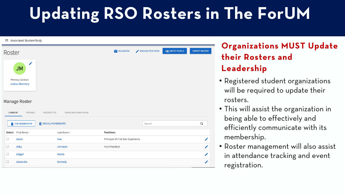- Registered student organizations will be required to update their rosters.
- This will assist the organization in being able to effectively and efficiently communicate with its membership.
- Roster management will also assist in attendance tracking and event registration.

# **Updating RSO Rosters in The ForUM**

#### $\equiv$  Associated Student Body +2, INVITE PEOPLE **EXPORT ROSTER** MANAGE POSITIONS MESSAGING Roster **JM Primary Contact Joshua Mannery** Manage Roster **CURRENT** PENDING PROSPECTIVE **TERMS AND CONDITIONS**  $\alpha$ **END MEMBERSHIP 雨 END ALL MEMBERSHIPS** Search **Positions Select** First Name: Last Name ╱ **Noa** Principal of First Year Experience Aaron ∕  $\Box$ Abby Johnston Vice President  $\Box$ Abigail **Mathis** ╱ Alexandra Kennedy Í

### **Organizations MUST Update their Rosters and Leadership**